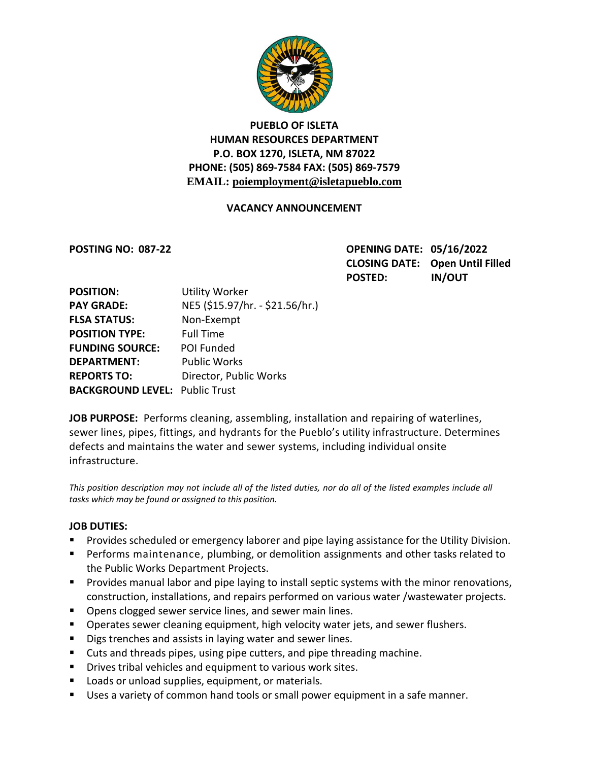

# **PUEBLO OF ISLETA HUMAN RESOURCES DEPARTMENT P.O. BOX 1270, ISLETA, NM 87022 PHONE: (505) 869-7584 FAX: (505) 869-7579 EMAIL: poiemployment@isletapueblo.com**

## **VACANCY ANNOUNCEMENT**

**POSTING NO: 087-22 OPENING DATE: 05/16/2022 CLOSING DATE: Open Until Filled POSTED: IN/OUT**

| <b>POSITION:</b>                      | <b>Utility Worker</b>           |
|---------------------------------------|---------------------------------|
| <b>PAY GRADE:</b>                     | NE5 (\$15.97/hr. - \$21.56/hr.) |
| <b>FLSA STATUS:</b>                   | Non-Exempt                      |
| <b>POSITION TYPE:</b>                 | <b>Full Time</b>                |
| <b>FUNDING SOURCE:</b>                | POI Funded                      |
| <b>DEPARTMENT:</b>                    | <b>Public Works</b>             |
| <b>REPORTS TO:</b>                    | Director, Public Works          |
| <b>BACKGROUND LEVEL: Public Trust</b> |                                 |

**JOB PURPOSE:** Performs cleaning, assembling, installation and repairing of waterlines, sewer lines, pipes, fittings, and hydrants for the Pueblo's utility infrastructure. Determines defects and maintains the water and sewer systems, including individual onsite infrastructure.

This position description may not include all of the listed duties, nor do all of the listed examples include all *tasks which may be found or assigned to this position.*

#### **JOB DUTIES:**

- **Provides scheduled or emergency laborer and pipe laying assistance for the Utility Division.**
- **Performs maintenance, plumbing, or demolition assignments and other tasks related to** the Public Works Department Projects.
- **Provides manual labor and pipe laying to install septic systems with the minor renovations,** construction, installations, and repairs performed on various water /wastewater projects.
- **Dens clogged sewer service lines, and sewer main lines.**
- **Dearates sewer cleaning equipment, high velocity water jets, and sewer flushers.**
- Digs trenches and assists in laying water and sewer lines.
- Cuts and threads pipes, using pipe cutters, and pipe threading machine.
- **Drives tribal vehicles and equipment to various work sites.**
- **Loads or unload supplies, equipment, or materials.**
- Uses a variety of common hand tools or small power equipment in a safe manner.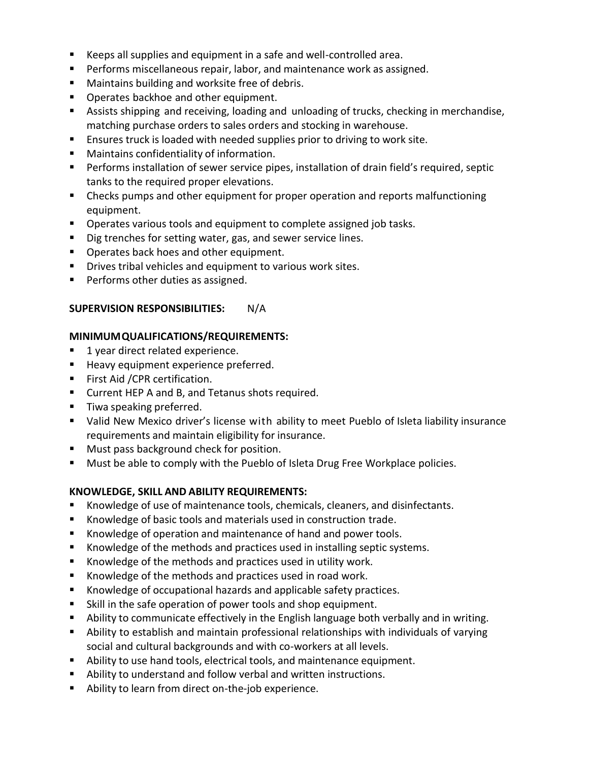- Keeps all supplies and equipment in a safe and well-controlled area.
- **Performs miscellaneous repair, labor, and maintenance work as assigned.**
- **Maintains building and worksite free of debris.**
- **Operates backhoe and other equipment.**
- Assists shipping and receiving, loading and unloading of trucks, checking in merchandise, matching purchase orders to sales orders and stocking in warehouse.
- **E** Ensures truck is loaded with needed supplies prior to driving to work site.
- Maintains confidentiality of information.
- **Performs installation of sewer service pipes, installation of drain field's required, septic** tanks to the required proper elevations.
- **EXP** Checks pumps and other equipment for proper operation and reports malfunctioning equipment.
- **Dearates various tools and equipment to complete assigned job tasks.**
- Dig trenches for setting water, gas, and sewer service lines.
- **Dearates back hoes and other equipment.**
- **Drives tribal vehicles and equipment to various work sites.**
- **Performs other duties as assigned.**

### **SUPERVISION RESPONSIBILITIES:** N/A

### **MINIMUMQUALIFICATIONS/REQUIREMENTS:**

- **1 year direct related experience.**
- **Heavy equipment experience preferred.**
- **First Aid / CPR certification.**
- Current HEP A and B, and Tetanus shots required.
- **Tiwa speaking preferred.**
- Valid New Mexico driver's license with ability to meet Pueblo of Isleta liability insurance requirements and maintain eligibility for insurance.
- **Must pass background check for position.**
- **Must be able to comply with the Pueblo of Isleta Drug Free Workplace policies.**

### **KNOWLEDGE, SKILL AND ABILITY REQUIREMENTS:**

- Knowledge of use of maintenance tools, chemicals, cleaners, and disinfectants.
- Knowledge of basic tools and materials used in construction trade.
- Knowledge of operation and maintenance of hand and power tools.
- **K**nowledge of the methods and practices used in installing septic systems.
- Knowledge of the methods and practices used in utility work.
- Knowledge of the methods and practices used in road work.
- Knowledge of occupational hazards and applicable safety practices.
- Skill in the safe operation of power tools and shop equipment.
- Ability to communicate effectively in the English language both verbally and in writing.
- Ability to establish and maintain professional relationships with individuals of varying social and cultural backgrounds and with co-workers at all levels.
- Ability to use hand tools, electrical tools, and maintenance equipment.
- Ability to understand and follow verbal and written instructions.
- Ability to learn from direct on-the-job experience.